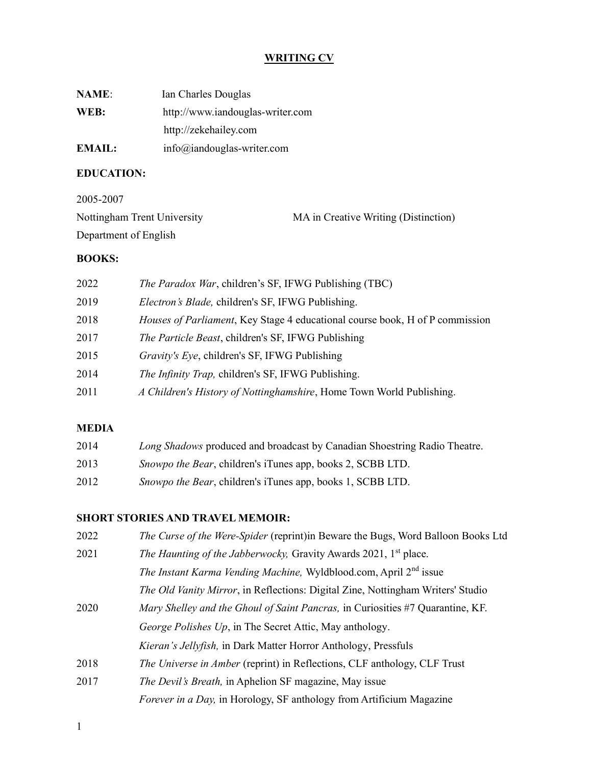## WRITING CV

| <b>NAME:</b> | Ian Charles Douglas              |
|--------------|----------------------------------|
| WEB:         | http://www.iandouglas-writer.com |
|              | http://zekehailey.com            |
| EMAIL:       | $info@$ iandouglas-writer.com    |

# EDUCATION:

| 2005-2007                   |                                      |
|-----------------------------|--------------------------------------|
| Nottingham Trent University | MA in Creative Writing (Distinction) |
| Department of English       |                                      |

# BOOKS:

| 2022 | <i>The Paradox War</i> , children's SF, IFWG Publishing (TBC)                |
|------|------------------------------------------------------------------------------|
| 2019 | Electron's Blade, children's SF, IFWG Publishing.                            |
| 2018 | Houses of Parliament, Key Stage 4 educational course book, H of P commission |
| 2017 | <i>The Particle Beast, children's SF, IFWG Publishing</i>                    |
| 2015 | Gravity's Eye, children's SF, IFWG Publishing                                |
| 2014 | The Infinity Trap, children's SF, IFWG Publishing.                           |
| 2011 | A Children's History of Nottinghamshire, Home Town World Publishing.         |
|      |                                                                              |

# MEDIA

| 2014 | Long Shadows produced and broadcast by Canadian Shoestring Radio Theatre. |
|------|---------------------------------------------------------------------------|
| 2013 | <i>Snowpo the Bear</i> , children's iTunes app, books 2, SCBB LTD.        |
| 2012 | Snowpo the Bear, children's iTunes app, books 1, SCBB LTD.                |

### SHORT STORIES AND TRAVEL MEMOIR:

| 2022 | The Curse of the Were-Spider (reprint) in Beware the Bugs, Word Balloon Books Ltd       |
|------|-----------------------------------------------------------------------------------------|
| 2021 | The Haunting of the Jabberwocky, Gravity Awards 2021, 1 <sup>st</sup> place.            |
|      | <i>The Instant Karma Vending Machine, Wyldblood.com, April</i> 2 <sup>nd</sup> issue    |
|      | <i>The Old Vanity Mirror</i> , in Reflections: Digital Zine, Nottingham Writers' Studio |
| 2020 | Mary Shelley and the Ghoul of Saint Pancras, in Curiosities #7 Quarantine, KF.          |
|      | George Polishes Up, in The Secret Attic, May anthology.                                 |
|      | Kieran's Jellyfish, in Dark Matter Horror Anthology, Pressfuls                          |
| 2018 | The Universe in Amber (reprint) in Reflections, CLF anthology, CLF Trust                |
| 2017 | <i>The Devil's Breath</i> , in Aphelion SF magazine, May issue                          |
|      | <i>Forever in a Day</i> , in Horology, SF anthology from Artificium Magazine            |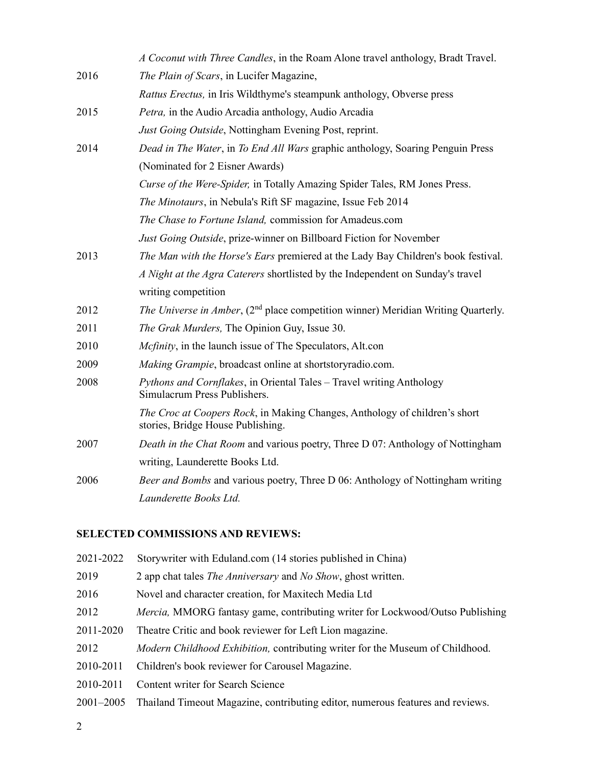|      | A Coconut with Three Candles, in the Roam Alone travel anthology, Bradt Travel.                                 |
|------|-----------------------------------------------------------------------------------------------------------------|
| 2016 | The Plain of Scars, in Lucifer Magazine,                                                                        |
|      | Rattus Erectus, in Iris Wildthyme's steampunk anthology, Obverse press                                          |
| 2015 | Petra, in the Audio Arcadia anthology, Audio Arcadia                                                            |
|      | Just Going Outside, Nottingham Evening Post, reprint.                                                           |
| 2014 | Dead in The Water, in To End All Wars graphic anthology, Soaring Penguin Press                                  |
|      | (Nominated for 2 Eisner Awards)                                                                                 |
|      | Curse of the Were-Spider, in Totally Amazing Spider Tales, RM Jones Press.                                      |
|      | The Minotaurs, in Nebula's Rift SF magazine, Issue Feb 2014                                                     |
|      | The Chase to Fortune Island, commission for Amadeus.com                                                         |
|      | <i>Just Going Outside</i> , prize-winner on Billboard Fiction for November                                      |
| 2013 | The Man with the Horse's Ears premiered at the Lady Bay Children's book festival.                               |
|      | A Night at the Agra Caterers shortlisted by the Independent on Sunday's travel                                  |
|      | writing competition                                                                                             |
| 2012 | <i>The Universe in Amber</i> , (2 <sup>nd</sup> place competition winner) Meridian Writing Quarterly.           |
| 2011 | The Grak Murders, The Opinion Guy, Issue 30.                                                                    |
| 2010 | Mcfinity, in the launch issue of The Speculators, Alt.con                                                       |
| 2009 | Making Grampie, broadcast online at shortstoryradio.com.                                                        |
| 2008 | Pythons and Cornflakes, in Oriental Tales - Travel writing Anthology<br>Simulacrum Press Publishers.            |
|      | The Croc at Coopers Rock, in Making Changes, Anthology of children's short<br>stories, Bridge House Publishing. |
| 2007 | Death in the Chat Room and various poetry, Three D 07: Anthology of Nottingham                                  |
|      | writing, Launderette Books Ltd.                                                                                 |
| 2006 | Beer and Bombs and various poetry, Three D 06: Anthology of Nottingham writing                                  |
|      | Launderette Books Ltd.                                                                                          |

# SELECTED COMMISSIONS AND REVIEWS:

| 2021-2022     | Storywriter with Eduland.com (14 stories published in China)                          |
|---------------|---------------------------------------------------------------------------------------|
| 2019          | 2 app chat tales <i>The Anniversary</i> and <i>No Show</i> , ghost written.           |
| 2016          | Novel and character creation, for Maxitech Media Ltd                                  |
| 2012          | <i>Mercia</i> , MMORG fantasy game, contributing writer for Lockwood/Outso Publishing |
| 2011-2020     | Theatre Critic and book reviewer for Left Lion magazine.                              |
| 2012          | Modern Childhood Exhibition, contributing writer for the Museum of Childhood.         |
| 2010-2011     | Children's book reviewer for Carousel Magazine.                                       |
| 2010-2011     | Content writer for Search Science                                                     |
| $2001 - 2005$ | Thailand Timeout Magazine, contributing editor, numerous features and reviews.        |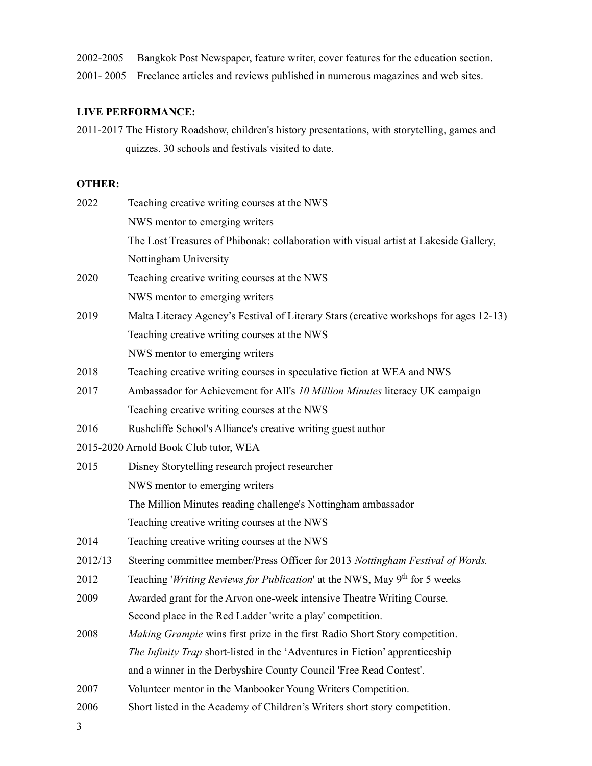- 2002-2005 Bangkok Post Newspaper, feature writer, cover features for the education section.
- 2001- 2005 Freelance articles and reviews published in numerous magazines and web sites.

#### LIVE PERFORMANCE:

2011-2017 The History Roadshow, children's history presentations, with storytelling, games and quizzes. 30 schools and festivals visited to date.

### OTHER:

| 2022    | Teaching creative writing courses at the NWS                                                |
|---------|---------------------------------------------------------------------------------------------|
|         | NWS mentor to emerging writers                                                              |
|         | The Lost Treasures of Phibonak: collaboration with visual artist at Lakeside Gallery,       |
|         | Nottingham University                                                                       |
| 2020    | Teaching creative writing courses at the NWS                                                |
|         | NWS mentor to emerging writers                                                              |
| 2019    | Malta Literacy Agency's Festival of Literary Stars (creative workshops for ages 12-13)      |
|         | Teaching creative writing courses at the NWS                                                |
|         | NWS mentor to emerging writers                                                              |
| 2018    | Teaching creative writing courses in speculative fiction at WEA and NWS                     |
| 2017    | Ambassador for Achievement for All's 10 Million Minutes literacy UK campaign                |
|         | Teaching creative writing courses at the NWS                                                |
| 2016    | Rushcliffe School's Alliance's creative writing guest author                                |
|         | 2015-2020 Arnold Book Club tutor, WEA                                                       |
| 2015    | Disney Storytelling research project researcher                                             |
|         | NWS mentor to emerging writers                                                              |
|         | The Million Minutes reading challenge's Nottingham ambassador                               |
|         | Teaching creative writing courses at the NWS                                                |
| 2014    | Teaching creative writing courses at the NWS                                                |
| 2012/13 | Steering committee member/Press Officer for 2013 Nottingham Festival of Words.              |
| 2012    | Teaching <i>Writing Reviews for Publication</i> at the NWS, May 9 <sup>th</sup> for 5 weeks |
| 2009    | Awarded grant for the Arvon one-week intensive Theatre Writing Course.                      |
|         | Second place in the Red Ladder 'write a play' competition.                                  |
| 2008    | Making Grampie wins first prize in the first Radio Short Story competition.                 |
|         | <i>The Infinity Trap</i> short-listed in the 'Adventures in Fiction' apprenticeship         |
|         | and a winner in the Derbyshire County Council 'Free Read Contest'.                          |
| 2007    | Volunteer mentor in the Manbooker Young Writers Competition.                                |
| 2006    | Short listed in the Academy of Children's Writers short story competition.                  |

3